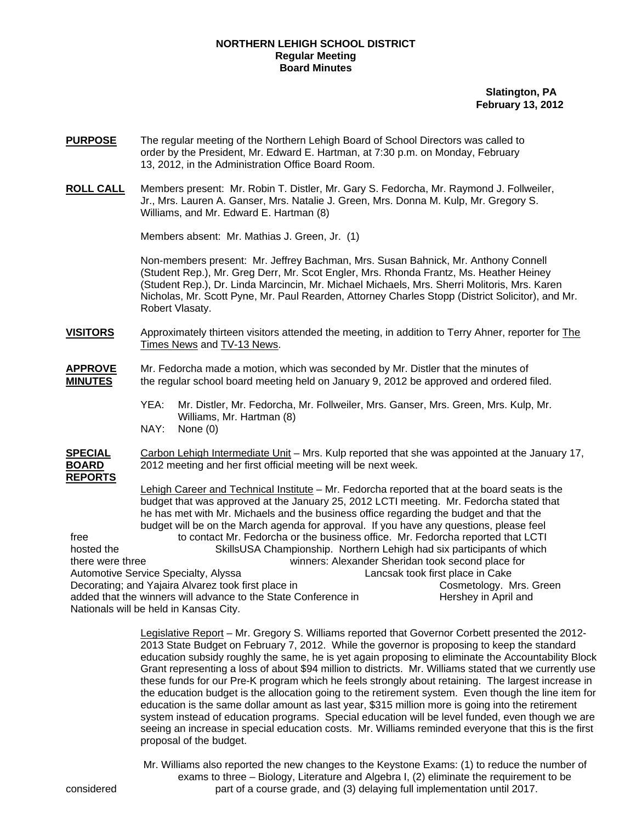## **NORTHERN LEHIGH SCHOOL DISTRICT Regular Meeting Board Minutes**

 **Slatington, PA February 13, 2012** 

- **PURPOSE** The regular meeting of the Northern Lehigh Board of School Directors was called to order by the President, Mr. Edward E. Hartman, at 7:30 p.m. on Monday, February 13, 2012, in the Administration Office Board Room.
- **ROLL CALL** Members present: Mr. Robin T. Distler, Mr. Gary S. Fedorcha, Mr. Raymond J. Follweiler, Jr., Mrs. Lauren A. Ganser, Mrs. Natalie J. Green, Mrs. Donna M. Kulp, Mr. Gregory S. Williams, and Mr. Edward E. Hartman (8)

Members absent: Mr. Mathias J. Green, Jr. (1)

Non-members present: Mr. Jeffrey Bachman, Mrs. Susan Bahnick, Mr. Anthony Connell (Student Rep.), Mr. Greg Derr, Mr. Scot Engler, Mrs. Rhonda Frantz, Ms. Heather Heiney (Student Rep.), Dr. Linda Marcincin, Mr. Michael Michaels, Mrs. Sherri Molitoris, Mrs. Karen Nicholas, Mr. Scott Pyne, Mr. Paul Rearden, Attorney Charles Stopp (District Solicitor), and Mr. Robert Vlasaty.

- **VISITORS** Approximately thirteen visitors attended the meeting, in addition to Terry Ahner, reporter for The Times News and TV-13 News.
- **APPROVE** Mr. Fedorcha made a motion, which was seconded by Mr. Distler that the minutes of **MINUTES** the regular school board meeting held on January 9, 2012 be approved and ordered filed.
	- YEA: Mr. Distler, Mr. Fedorcha, Mr. Follweiler, Mrs. Ganser, Mrs. Green, Mrs. Kulp, Mr. Williams, Mr. Hartman (8)
	- NAY: None (0)
- **SPECIAL** Carbon Lehigh Intermediate Unit Mrs. Kulp reported that she was appointed at the January 17, **BOARD** 2012 meeting and her first official meeting will be next week. **REPORTS**

 Lehigh Career and Technical Institute – Mr. Fedorcha reported that at the board seats is the budget that was approved at the January 25, 2012 LCTI meeting. Mr. Fedorcha stated that he has met with Mr. Michaels and the business office regarding the budget and that the budget will be on the March agenda for approval. If you have any questions, please feel free to contact Mr. Fedorcha or the business office. Mr. Fedorcha reported that LCTI hosted the SkillsUSA Championship. Northern Lehigh had six participants of which there were three winners: Alexander Sheridan took second place for Automotive Service Specialty, Alyssa Lancsak took first place in Cake Decorating; and Yajaira Alvarez took first place in Cosmetology. Mrs. Green added that the winners will advance to the State Conference in Hershey in April and Nationals will be held in Kansas City.

> Legislative Report – Mr. Gregory S. Williams reported that Governor Corbett presented the 2012- 2013 State Budget on February 7, 2012. While the governor is proposing to keep the standard education subsidy roughly the same, he is yet again proposing to eliminate the Accountability Block Grant representing a loss of about \$94 million to districts. Mr. Williams stated that we currently use these funds for our Pre-K program which he feels strongly about retaining. The largest increase in the education budget is the allocation going to the retirement system. Even though the line item for education is the same dollar amount as last year, \$315 million more is going into the retirement system instead of education programs. Special education will be level funded, even though we are seeing an increase in special education costs. Mr. Williams reminded everyone that this is the first proposal of the budget.

 Mr. Williams also reported the new changes to the Keystone Exams: (1) to reduce the number of exams to three – Biology, Literature and Algebra I, (2) eliminate the requirement to be considered part of a course grade, and (3) delaying full implementation until 2017.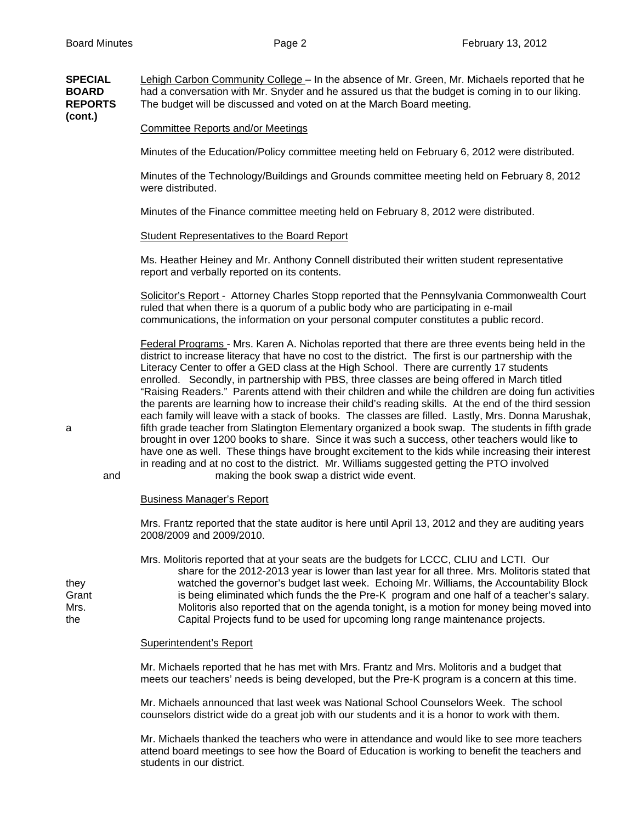**(cont.)**

**SPECIAL** Lehigh Carbon Community College – In the absence of Mr. Green, Mr. Michaels reported that he **BOARD** had a conversation with Mr. Snyder and he assured us that the budget is coming in to our liking.<br>REPORTS The budget will be discussed and voted on at the March Board meeting. The budget will be discussed and voted on at the March Board meeting.

Committee Reports and/or Meetings

Minutes of the Education/Policy committee meeting held on February 6, 2012 were distributed.

 Minutes of the Technology/Buildings and Grounds committee meeting held on February 8, 2012 were distributed.

Minutes of the Finance committee meeting held on February 8, 2012 were distributed.

Student Representatives to the Board Report

Ms. Heather Heiney and Mr. Anthony Connell distributed their written student representative report and verbally reported on its contents.

Solicitor's Report - Attorney Charles Stopp reported that the Pennsylvania Commonwealth Court ruled that when there is a quorum of a public body who are participating in e-mail communications, the information on your personal computer constitutes a public record.

Federal Programs - Mrs. Karen A. Nicholas reported that there are three events being held in the district to increase literacy that have no cost to the district. The first is our partnership with the Literacy Center to offer a GED class at the High School. There are currently 17 students enrolled. Secondly, in partnership with PBS, three classes are being offered in March titled "Raising Readers." Parents attend with their children and while the children are doing fun activities the parents are learning how to increase their child's reading skills. At the end of the third session each family will leave with a stack of books. The classes are filled. Lastly, Mrs. Donna Marushak, a fifth grade teacher from Slatington Elementary organized a book swap. The students in fifth grade brought in over 1200 books to share. Since it was such a success, other teachers would like to have one as well. These things have brought excitement to the kids while increasing their interest in reading and at no cost to the district. Mr. Williams suggested getting the PTO involved and making the book swap a district wide event.

Business Manager's Report

 Mrs. Frantz reported that the state auditor is here until April 13, 2012 and they are auditing years 2008/2009 and 2009/2010.

 Mrs. Molitoris reported that at your seats are the budgets for LCCC, CLIU and LCTI. Our share for the 2012-2013 year is lower than last year for all three. Mrs. Molitoris stated that they watched the governor's budget last week. Echoing Mr. Williams, the Accountability Block Grant is being eliminated which funds the the Pre-K program and one half of a teacher's salary. Mrs. Molitoris also reported that on the agenda tonight, is a motion for money being moved into the Capital Projects fund to be used for upcoming long range maintenance projects.

## Superintendent's Report

Mr. Michaels reported that he has met with Mrs. Frantz and Mrs. Molitoris and a budget that meets our teachers' needs is being developed, but the Pre-K program is a concern at this time.

Mr. Michaels announced that last week was National School Counselors Week. The school counselors district wide do a great job with our students and it is a honor to work with them.

Mr. Michaels thanked the teachers who were in attendance and would like to see more teachers attend board meetings to see how the Board of Education is working to benefit the teachers and students in our district.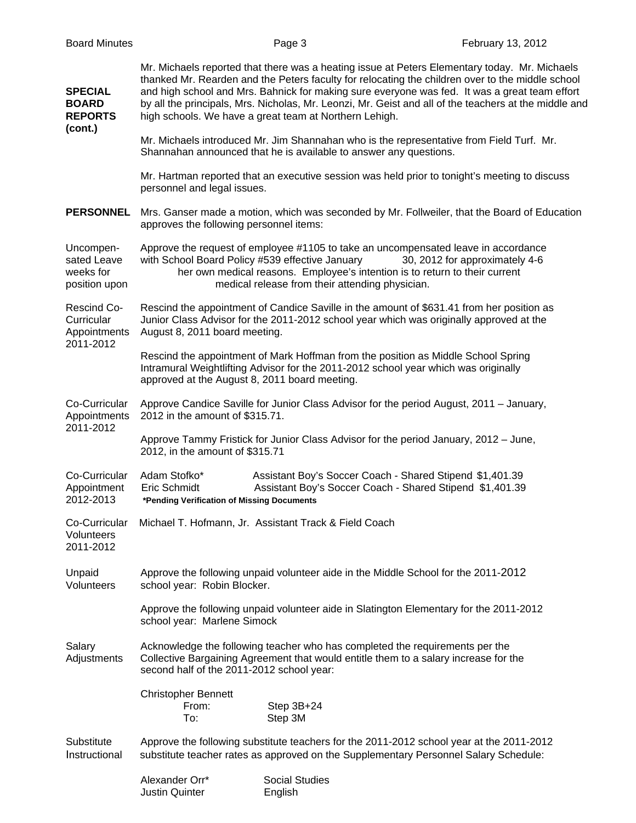| <b>SPECIAL</b><br><b>BOARD</b><br><b>REPORTS</b>       | Mr. Michaels reported that there was a heating issue at Peters Elementary today. Mr. Michaels<br>thanked Mr. Rearden and the Peters faculty for relocating the children over to the middle school<br>and high school and Mrs. Bahnick for making sure everyone was fed. It was a great team effort<br>by all the principals, Mrs. Nicholas, Mr. Leonzi, Mr. Geist and all of the teachers at the middle and<br>high schools. We have a great team at Northern Lehigh. |                                                                                                                      |  |  |  |  |  |  |
|--------------------------------------------------------|-----------------------------------------------------------------------------------------------------------------------------------------------------------------------------------------------------------------------------------------------------------------------------------------------------------------------------------------------------------------------------------------------------------------------------------------------------------------------|----------------------------------------------------------------------------------------------------------------------|--|--|--|--|--|--|
| (cont.)                                                | Mr. Michaels introduced Mr. Jim Shannahan who is the representative from Field Turf. Mr.<br>Shannahan announced that he is available to answer any questions.                                                                                                                                                                                                                                                                                                         |                                                                                                                      |  |  |  |  |  |  |
|                                                        | Mr. Hartman reported that an executive session was held prior to tonight's meeting to discuss<br>personnel and legal issues.                                                                                                                                                                                                                                                                                                                                          |                                                                                                                      |  |  |  |  |  |  |
| <b>PERSONNEL</b>                                       | Mrs. Ganser made a motion, which was seconded by Mr. Follweiler, that the Board of Education<br>approves the following personnel items:                                                                                                                                                                                                                                                                                                                               |                                                                                                                      |  |  |  |  |  |  |
| Uncompen-<br>sated Leave<br>weeks for<br>position upon | Approve the request of employee #1105 to take an uncompensated leave in accordance<br>with School Board Policy #539 effective January<br>30, 2012 for approximately 4-6<br>her own medical reasons. Employee's intention is to return to their current<br>medical release from their attending physician.                                                                                                                                                             |                                                                                                                      |  |  |  |  |  |  |
| Rescind Co-<br>Curricular<br>Appointments<br>2011-2012 | Rescind the appointment of Candice Saville in the amount of \$631.41 from her position as<br>Junior Class Advisor for the 2011-2012 school year which was originally approved at the<br>August 8, 2011 board meeting.                                                                                                                                                                                                                                                 |                                                                                                                      |  |  |  |  |  |  |
|                                                        | Rescind the appointment of Mark Hoffman from the position as Middle School Spring<br>Intramural Weightlifting Advisor for the 2011-2012 school year which was originally<br>approved at the August 8, 2011 board meeting.                                                                                                                                                                                                                                             |                                                                                                                      |  |  |  |  |  |  |
| Co-Curricular<br>Appointments<br>2011-2012             | Approve Candice Saville for Junior Class Advisor for the period August, 2011 - January,<br>2012 in the amount of \$315.71.                                                                                                                                                                                                                                                                                                                                            |                                                                                                                      |  |  |  |  |  |  |
|                                                        | Approve Tammy Fristick for Junior Class Advisor for the period January, 2012 - June,<br>2012, in the amount of \$315.71                                                                                                                                                                                                                                                                                                                                               |                                                                                                                      |  |  |  |  |  |  |
| Co-Curricular<br>Appointment<br>2012-2013              | Adam Stofko*<br>Eric Schmidt<br>*Pending Verification of Missing Documents                                                                                                                                                                                                                                                                                                                                                                                            | Assistant Boy's Soccer Coach - Shared Stipend \$1,401.39<br>Assistant Boy's Soccer Coach - Shared Stipend \$1,401.39 |  |  |  |  |  |  |
| Co-Curricular<br>Volunteers<br>2011-2012               |                                                                                                                                                                                                                                                                                                                                                                                                                                                                       | Michael T. Hofmann, Jr. Assistant Track & Field Coach                                                                |  |  |  |  |  |  |
| Unpaid<br>Volunteers                                   | Approve the following unpaid volunteer aide in the Middle School for the 2011-2012<br>school year: Robin Blocker.                                                                                                                                                                                                                                                                                                                                                     |                                                                                                                      |  |  |  |  |  |  |
|                                                        | Approve the following unpaid volunteer aide in Slatington Elementary for the 2011-2012<br>school year: Marlene Simock                                                                                                                                                                                                                                                                                                                                                 |                                                                                                                      |  |  |  |  |  |  |
| Salary<br>Adjustments                                  | Acknowledge the following teacher who has completed the requirements per the<br>Collective Bargaining Agreement that would entitle them to a salary increase for the<br>second half of the 2011-2012 school year:                                                                                                                                                                                                                                                     |                                                                                                                      |  |  |  |  |  |  |
|                                                        | <b>Christopher Bennett</b><br>From:<br>To:                                                                                                                                                                                                                                                                                                                                                                                                                            | Step 3B+24<br>Step 3M                                                                                                |  |  |  |  |  |  |
| Substitute<br>Instructional                            | Approve the following substitute teachers for the 2011-2012 school year at the 2011-2012<br>substitute teacher rates as approved on the Supplementary Personnel Salary Schedule:                                                                                                                                                                                                                                                                                      |                                                                                                                      |  |  |  |  |  |  |
|                                                        | Alexander Orr*<br><b>Justin Quinter</b>                                                                                                                                                                                                                                                                                                                                                                                                                               | <b>Social Studies</b><br>English                                                                                     |  |  |  |  |  |  |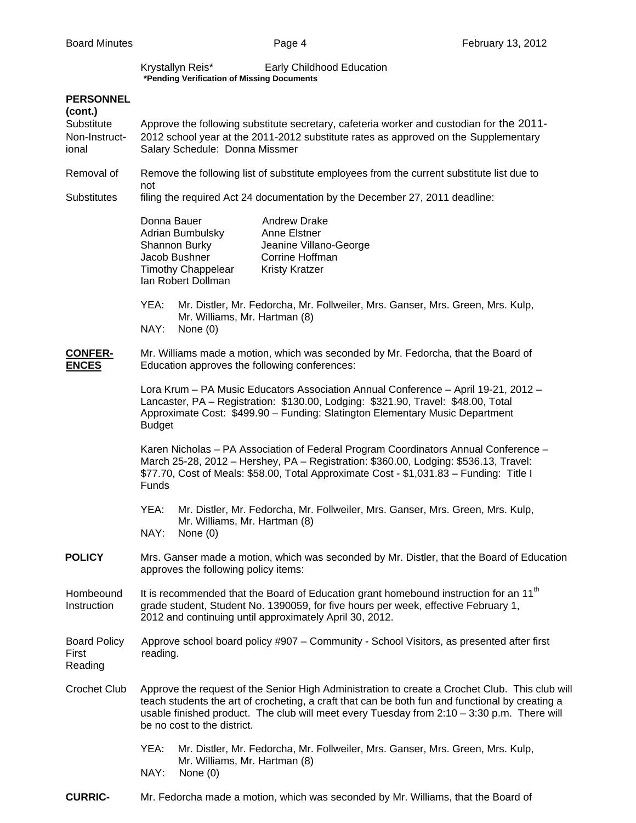## Krystallyn Reis\* Early Childhood Education **\*Pending Verification of Missing Documents**

## **PERSONNEL**

**(cont.)**  Substitute Approve the following substitute secretary, cafeteria worker and custodian for the 2011- Non-Instruct- 2012 school year at the 2011-2012 substitute rates as approved on the Supplementary<br>
ional Salary Schedule: Donna Missmer Salary Schedule: Donna Missmer

Removal of Remove the following list of substitute employees from the current substitute list due to not

| <b>Substitutes</b>                      | ΠUΙ<br>filing the required Act 24 documentation by the December 27, 2011 deadline:                                                                                                                                                                                                                                             |  |  |  |  |  |
|-----------------------------------------|--------------------------------------------------------------------------------------------------------------------------------------------------------------------------------------------------------------------------------------------------------------------------------------------------------------------------------|--|--|--|--|--|
|                                         | Donna Bauer<br><b>Andrew Drake</b><br>Adrian Bumbulsky<br>Anne Elstner<br>Shannon Burky<br>Jeanine Villano-George<br>Jacob Bushner<br>Corrine Hoffman<br><b>Timothy Chappelear</b><br><b>Kristy Kratzer</b><br>Ian Robert Dollman                                                                                              |  |  |  |  |  |
|                                         | YEA:<br>Mr. Distler, Mr. Fedorcha, Mr. Follweiler, Mrs. Ganser, Mrs. Green, Mrs. Kulp,<br>Mr. Williams, Mr. Hartman (8)<br>NAY:<br>None (0)                                                                                                                                                                                    |  |  |  |  |  |
| <b>CONFER-</b><br><b>ENCES</b>          | Mr. Williams made a motion, which was seconded by Mr. Fedorcha, that the Board of<br>Education approves the following conferences:                                                                                                                                                                                             |  |  |  |  |  |
|                                         | Lora Krum - PA Music Educators Association Annual Conference - April 19-21, 2012 -<br>Lancaster, PA - Registration: \$130.00, Lodging: \$321.90, Travel: \$48.00, Total<br>Approximate Cost: \$499.90 - Funding: Slatington Elementary Music Department<br><b>Budget</b>                                                       |  |  |  |  |  |
|                                         | Karen Nicholas - PA Association of Federal Program Coordinators Annual Conference -<br>March 25-28, 2012 - Hershey, PA - Registration: \$360.00, Lodging: \$536.13, Travel:<br>\$77.70, Cost of Meals: \$58.00, Total Approximate Cost - \$1,031.83 - Funding: Title I<br>Funds                                                |  |  |  |  |  |
|                                         | YEA:<br>Mr. Distler, Mr. Fedorcha, Mr. Follweiler, Mrs. Ganser, Mrs. Green, Mrs. Kulp,<br>Mr. Williams, Mr. Hartman (8)<br>NAY:<br>None $(0)$                                                                                                                                                                                  |  |  |  |  |  |
| <b>POLICY</b>                           | Mrs. Ganser made a motion, which was seconded by Mr. Distler, that the Board of Education<br>approves the following policy items:                                                                                                                                                                                              |  |  |  |  |  |
| Hombeound<br>Instruction                | It is recommended that the Board of Education grant homebound instruction for an 11 <sup>th</sup><br>grade student, Student No. 1390059, for five hours per week, effective February 1,<br>2012 and continuing until approximately April 30, 2012.                                                                             |  |  |  |  |  |
| <b>Board Policy</b><br>First<br>Reading | Approve school board policy #907 - Community - School Visitors, as presented after first<br>reading.                                                                                                                                                                                                                           |  |  |  |  |  |
| <b>Crochet Club</b>                     | Approve the request of the Senior High Administration to create a Crochet Club. This club will<br>teach students the art of crocheting, a craft that can be both fun and functional by creating a<br>usable finished product. The club will meet every Tuesday from 2:10 - 3:30 p.m. There will<br>be no cost to the district. |  |  |  |  |  |
|                                         | Mr. Distler, Mr. Fedorcha, Mr. Follweiler, Mrs. Ganser, Mrs. Green, Mrs. Kulp,<br>YEA:<br>Mr. Williams, Mr. Hartman (8)<br>None $(0)$<br>NAY:                                                                                                                                                                                  |  |  |  |  |  |

**CURRIC-** Mr. Fedorcha made a motion, which was seconded by Mr. Williams, that the Board of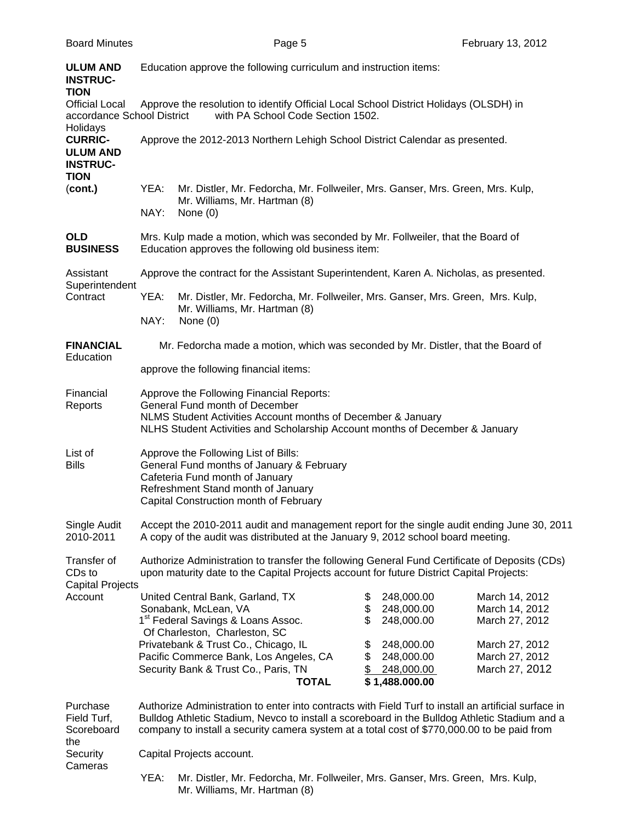| <b>ULUM AND</b><br><b>INSTRUC-</b><br><b>TION</b>                   | Education approve the following curriculum and instruction items:                                                                                                                                                          |                                                                                                                                                                                                                                                                                                      |          |                                                          |                                                    |  |  |
|---------------------------------------------------------------------|----------------------------------------------------------------------------------------------------------------------------------------------------------------------------------------------------------------------------|------------------------------------------------------------------------------------------------------------------------------------------------------------------------------------------------------------------------------------------------------------------------------------------------------|----------|----------------------------------------------------------|----------------------------------------------------|--|--|
| <b>Official Local</b><br>accordance School District<br>Holidays     | Approve the resolution to identify Official Local School District Holidays (OLSDH) in<br>with PA School Code Section 1502.                                                                                                 |                                                                                                                                                                                                                                                                                                      |          |                                                          |                                                    |  |  |
| <b>CURRIC-</b><br><b>ULUM AND</b><br><b>INSTRUC-</b><br><b>TION</b> | Approve the 2012-2013 Northern Lehigh School District Calendar as presented.                                                                                                                                               |                                                                                                                                                                                                                                                                                                      |          |                                                          |                                                    |  |  |
| (cont.)                                                             | YEA:<br>NAY:                                                                                                                                                                                                               | Mr. Distler, Mr. Fedorcha, Mr. Follweiler, Mrs. Ganser, Mrs. Green, Mrs. Kulp,<br>Mr. Williams, Mr. Hartman (8)<br>None $(0)$                                                                                                                                                                        |          |                                                          |                                                    |  |  |
| <b>OLD</b><br><b>BUSINESS</b>                                       | Mrs. Kulp made a motion, which was seconded by Mr. Follweiler, that the Board of<br>Education approves the following old business item:                                                                                    |                                                                                                                                                                                                                                                                                                      |          |                                                          |                                                    |  |  |
| Assistant<br>Superintendent                                         | Approve the contract for the Assistant Superintendent, Karen A. Nicholas, as presented.                                                                                                                                    |                                                                                                                                                                                                                                                                                                      |          |                                                          |                                                    |  |  |
| Contract                                                            | YEA:<br>Mr. Distler, Mr. Fedorcha, Mr. Follweiler, Mrs. Ganser, Mrs. Green, Mrs. Kulp,<br>Mr. Williams, Mr. Hartman (8)                                                                                                    |                                                                                                                                                                                                                                                                                                      |          |                                                          |                                                    |  |  |
|                                                                     | NAY:                                                                                                                                                                                                                       | None $(0)$                                                                                                                                                                                                                                                                                           |          |                                                          |                                                    |  |  |
| <b>FINANCIAL</b><br>Education                                       | Mr. Fedorcha made a motion, which was seconded by Mr. Distler, that the Board of                                                                                                                                           |                                                                                                                                                                                                                                                                                                      |          |                                                          |                                                    |  |  |
|                                                                     | approve the following financial items:                                                                                                                                                                                     |                                                                                                                                                                                                                                                                                                      |          |                                                          |                                                    |  |  |
| Financial<br>Reports                                                | Approve the Following Financial Reports:<br>General Fund month of December<br>NLMS Student Activities Account months of December & January<br>NLHS Student Activities and Scholarship Account months of December & January |                                                                                                                                                                                                                                                                                                      |          |                                                          |                                                    |  |  |
| List of<br><b>Bills</b>                                             | Approve the Following List of Bills:<br>General Fund months of January & February<br>Cafeteria Fund month of January<br>Refreshment Stand month of January<br>Capital Construction month of February                       |                                                                                                                                                                                                                                                                                                      |          |                                                          |                                                    |  |  |
| Single Audit<br>2010-2011                                           | Accept the 2010-2011 audit and management report for the single audit ending June 30, 2011<br>A copy of the audit was distributed at the January 9, 2012 school board meeting.                                             |                                                                                                                                                                                                                                                                                                      |          |                                                          |                                                    |  |  |
| Transfer of<br>CD <sub>s</sub> to<br><b>Capital Projects</b>        |                                                                                                                                                                                                                            | Authorize Administration to transfer the following General Fund Certificate of Deposits (CDs)<br>upon maturity date to the Capital Projects account for future District Capital Projects:                                                                                                            |          |                                                          |                                                    |  |  |
| Account                                                             |                                                                                                                                                                                                                            | United Central Bank, Garland, TX<br>Sonabank, McLean, VA<br>1 <sup>st</sup> Federal Savings & Loans Assoc.<br>Of Charleston, Charleston, SC                                                                                                                                                          | \$       | 248,000.00<br>248,000.00<br>248,000.00                   | March 14, 2012<br>March 14, 2012<br>March 27, 2012 |  |  |
|                                                                     |                                                                                                                                                                                                                            | Privatebank & Trust Co., Chicago, IL<br>Pacific Commerce Bank, Los Angeles, CA<br>Security Bank & Trust Co., Paris, TN<br><b>TOTAL</b>                                                                                                                                                               | \$<br>\$ | 248,000.00<br>248,000.00<br>248,000.00<br>\$1,488.000.00 | March 27, 2012<br>March 27, 2012<br>March 27, 2012 |  |  |
| Purchase<br>Field Turf,<br>Scoreboard<br>the                        |                                                                                                                                                                                                                            | Authorize Administration to enter into contracts with Field Turf to install an artificial surface in<br>Bulldog Athletic Stadium, Nevco to install a scoreboard in the Bulldog Athletic Stadium and a<br>company to install a security camera system at a total cost of \$770,000.00 to be paid from |          |                                                          |                                                    |  |  |
| Security<br>Cameras                                                 | Capital Projects account.                                                                                                                                                                                                  |                                                                                                                                                                                                                                                                                                      |          |                                                          |                                                    |  |  |
|                                                                     | YEA:<br>Mr. Distler, Mr. Fedorcha, Mr. Follweiler, Mrs. Ganser, Mrs. Green, Mrs. Kulp,                                                                                                                                     |                                                                                                                                                                                                                                                                                                      |          |                                                          |                                                    |  |  |

Mr. Williams, Mr. Hartman (8)